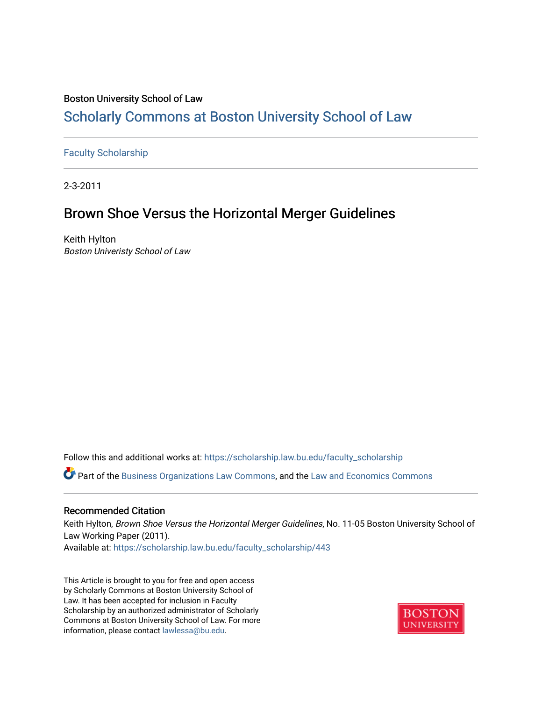### Boston University School of Law [Scholarly Commons at Boston University School of Law](https://scholarship.law.bu.edu/)

#### [Faculty Scholarship](https://scholarship.law.bu.edu/faculty_scholarship)

2-3-2011

## Brown Shoe Versus the Horizontal Merger Guidelines

Keith Hylton Boston Univeristy School of Law

Follow this and additional works at: [https://scholarship.law.bu.edu/faculty\\_scholarship](https://scholarship.law.bu.edu/faculty_scholarship?utm_source=scholarship.law.bu.edu%2Ffaculty_scholarship%2F443&utm_medium=PDF&utm_campaign=PDFCoverPages)

Part of the [Business Organizations Law Commons](http://network.bepress.com/hgg/discipline/900?utm_source=scholarship.law.bu.edu%2Ffaculty_scholarship%2F443&utm_medium=PDF&utm_campaign=PDFCoverPages), and the [Law and Economics Commons](http://network.bepress.com/hgg/discipline/612?utm_source=scholarship.law.bu.edu%2Ffaculty_scholarship%2F443&utm_medium=PDF&utm_campaign=PDFCoverPages) 

#### Recommended Citation

Keith Hylton, Brown Shoe Versus the Horizontal Merger Guidelines, No. 11-05 Boston University School of Law Working Paper (2011). Available at: [https://scholarship.law.bu.edu/faculty\\_scholarship/443](https://scholarship.law.bu.edu/faculty_scholarship/443?utm_source=scholarship.law.bu.edu%2Ffaculty_scholarship%2F443&utm_medium=PDF&utm_campaign=PDFCoverPages) 

This Article is brought to you for free and open access by Scholarly Commons at Boston University School of Law. It has been accepted for inclusion in Faculty Scholarship by an authorized administrator of Scholarly Commons at Boston University School of Law. For more information, please contact [lawlessa@bu.edu.](mailto:lawlessa@bu.edu)

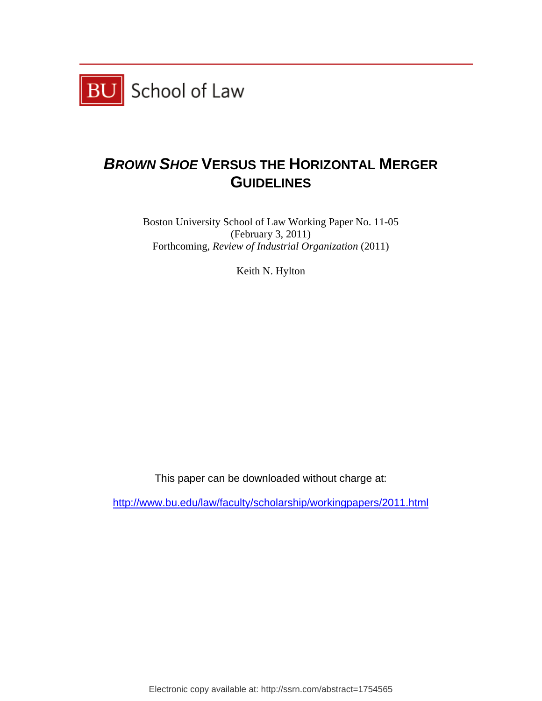

# *BROWN SHOE* **VERSUS THE HORIZONTAL MERGER GUIDELINES**

Boston University School of Law Working Paper No. 11-05 (February 3, 2011) Forthcoming, *Review of Industrial Organization* (2011)

Keith N. Hylton

This paper can be downloaded without charge at:

http://www.bu.edu/law/faculty/scholarship/workingpapers/2011.html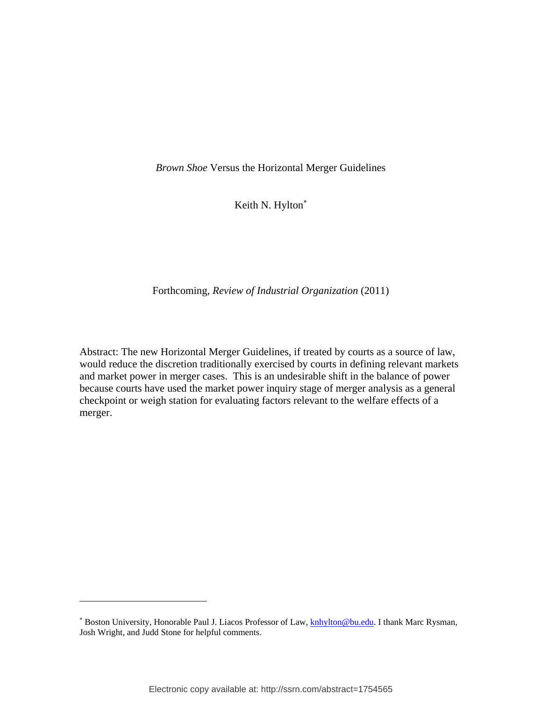*Brown Shoe* Versus the Horizontal Merger Guidelines

Keith N. Hylton

Forthcoming, *Review of Industrial Organization* (2011)

Abstract: The new Horizontal Merger Guidelines, if treated by courts as a source of law, would reduce the discretion traditionally exercised by courts in defining relevant markets and market power in merger cases. This is an undesirable shift in the balance of power because courts have used the market power inquiry stage of merger analysis as a general checkpoint or weigh station for evaluating factors relevant to the welfare effects of a merger.

<sup>\*</sup> Boston University, Honorable Paul J. Liacos Professor of Law, **knhylton@bu.edu**. I thank Marc Rysman, Josh Wright, and Judd Stone for helpful comments.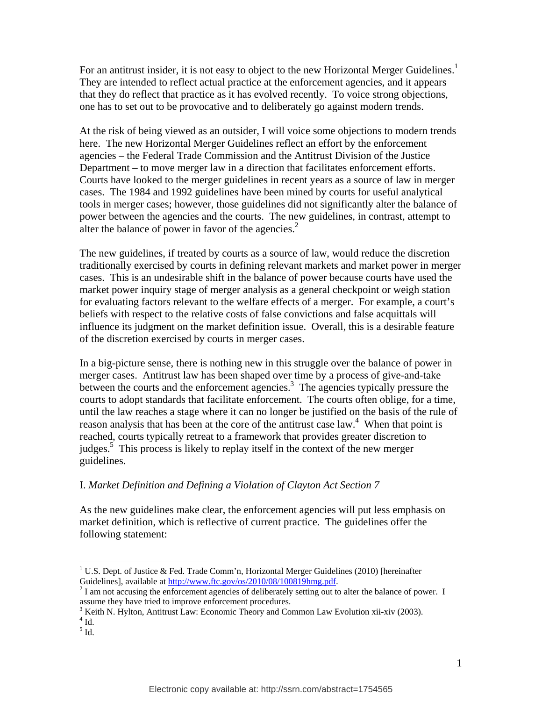For an antitrust insider, it is not easy to object to the new Horizontal Merger Guidelines.<sup>1</sup> They are intended to reflect actual practice at the enforcement agencies, and it appears that they do reflect that practice as it has evolved recently. To voice strong objections, one has to set out to be provocative and to deliberately go against modern trends.

At the risk of being viewed as an outsider, I will voice some objections to modern trends here. The new Horizontal Merger Guidelines reflect an effort by the enforcement agencies – the Federal Trade Commission and the Antitrust Division of the Justice Department – to move merger law in a direction that facilitates enforcement efforts. Courts have looked to the merger guidelines in recent years as a source of law in merger cases. The 1984 and 1992 guidelines have been mined by courts for useful analytical tools in merger cases; however, those guidelines did not significantly alter the balance of power between the agencies and the courts. The new guidelines, in contrast, attempt to alter the balance of power in favor of the agencies.<sup>2</sup>

The new guidelines, if treated by courts as a source of law, would reduce the discretion traditionally exercised by courts in defining relevant markets and market power in merger cases. This is an undesirable shift in the balance of power because courts have used the market power inquiry stage of merger analysis as a general checkpoint or weigh station for evaluating factors relevant to the welfare effects of a merger. For example, a court's beliefs with respect to the relative costs of false convictions and false acquittals will influence its judgment on the market definition issue. Overall, this is a desirable feature of the discretion exercised by courts in merger cases.

In a big-picture sense, there is nothing new in this struggle over the balance of power in merger cases. Antitrust law has been shaped over time by a process of give-and-take between the courts and the enforcement agencies.<sup>3</sup> The agencies typically pressure the courts to adopt standards that facilitate enforcement. The courts often oblige, for a time, until the law reaches a stage where it can no longer be justified on the basis of the rule of reason analysis that has been at the core of the antitrust case law.<sup>4</sup> When that point is reached, courts typically retreat to a framework that provides greater discretion to judges.<sup>5</sup> This process is likely to replay itself in the context of the new merger guidelines.

#### I. *Market Definition and Defining a Violation of Clayton Act Section 7*

As the new guidelines make clear, the enforcement agencies will put less emphasis on market definition, which is reflective of current practice. The guidelines offer the following statement:

<sup>&</sup>lt;sup>1</sup> U.S. Dept. of Justice & Fed. Trade Comm'n, Horizontal Merger Guidelines (2010) [hereinafter Guidelines], available at http://www.ftc.gov/os/2010/08/100819hmg.pdf.

<sup>&</sup>lt;sup>2</sup> I am not accusing the enforcement agencies of deliberately setting out to alter the balance of power. I assume they have tried to improve enforcement procedures.

 $3$  Keith N. Hylton, Antitrust Law: Economic Theory and Common Law Evolution xii-xiv (2003).  $4$  Id.

 $<sup>5</sup>$  Id.</sup>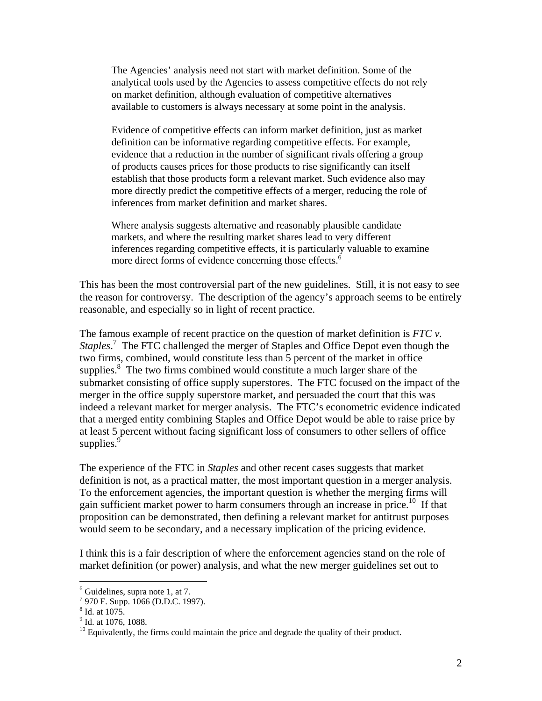The Agencies' analysis need not start with market definition. Some of the analytical tools used by the Agencies to assess competitive effects do not rely on market definition, although evaluation of competitive alternatives available to customers is always necessary at some point in the analysis.

Evidence of competitive effects can inform market definition, just as market definition can be informative regarding competitive effects. For example, evidence that a reduction in the number of significant rivals offering a group of products causes prices for those products to rise significantly can itself establish that those products form a relevant market. Such evidence also may more directly predict the competitive effects of a merger, reducing the role of inferences from market definition and market shares.

Where analysis suggests alternative and reasonably plausible candidate markets, and where the resulting market shares lead to very different inferences regarding competitive effects, it is particularly valuable to examine more direct forms of evidence concerning those effects.<sup>6</sup>

This has been the most controversial part of the new guidelines. Still, it is not easy to see the reason for controversy. The description of the agency's approach seems to be entirely reasonable, and especially so in light of recent practice.

The famous example of recent practice on the question of market definition is *FTC v.*  Staples.<sup>7</sup> The FTC challenged the merger of Staples and Office Depot even though the two firms, combined, would constitute less than 5 percent of the market in office supplies. $8 \text{ The two firms combined would constitute a much larger share of the }$ submarket consisting of office supply superstores. The FTC focused on the impact of the merger in the office supply superstore market, and persuaded the court that this was indeed a relevant market for merger analysis. The FTC's econometric evidence indicated that a merged entity combining Staples and Office Depot would be able to raise price by at least 5 percent without facing significant loss of consumers to other sellers of office supplies.<sup>9</sup>

The experience of the FTC in *Staples* and other recent cases suggests that market definition is not, as a practical matter, the most important question in a merger analysis. To the enforcement agencies, the important question is whether the merging firms will gain sufficient market power to harm consumers through an increase in price.<sup>10</sup> If that proposition can be demonstrated, then defining a relevant market for antitrust purposes would seem to be secondary, and a necessary implication of the pricing evidence.

I think this is a fair description of where the enforcement agencies stand on the role of market definition (or power) analysis, and what the new merger guidelines set out to

<sup>&</sup>lt;sup>6</sup> Guidelines, supra note 1, at 7.

<sup>7</sup> 970 F. Supp. 1066 (D.D.C. 1997).

 $^8$  Id. at 1075.

<sup>&</sup>lt;sup>9</sup> Id. at 1076, 1088.

 $10$  Equivalently, the firms could maintain the price and degrade the quality of their product.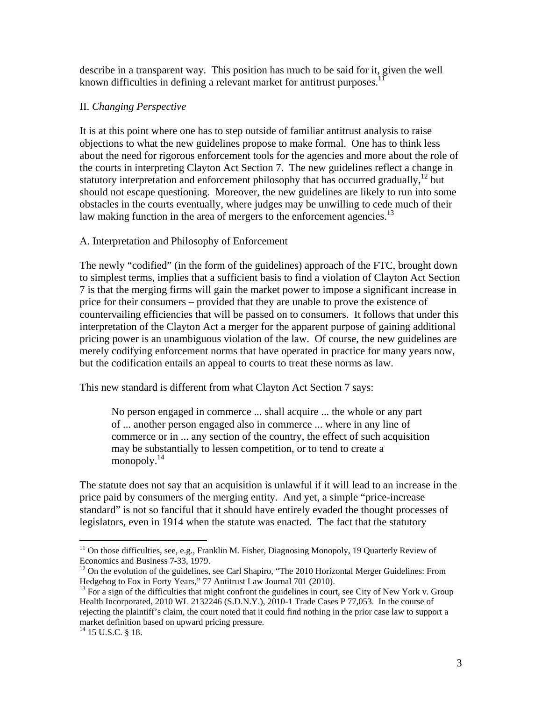describe in a transparent way. This position has much to be said for it, given the well known difficulties in defining a relevant market for antitrust purposes.<sup>1</sup>

#### II. *Changing Perspective*

It is at this point where one has to step outside of familiar antitrust analysis to raise objections to what the new guidelines propose to make formal. One has to think less about the need for rigorous enforcement tools for the agencies and more about the role of the courts in interpreting Clayton Act Section 7. The new guidelines reflect a change in statutory interpretation and enforcement philosophy that has occurred gradually,<sup>12</sup> but should not escape questioning. Moreover, the new guidelines are likely to run into some obstacles in the courts eventually, where judges may be unwilling to cede much of their law making function in the area of mergers to the enforcement agencies.<sup>13</sup>

#### A. Interpretation and Philosophy of Enforcement

The newly "codified" (in the form of the guidelines) approach of the FTC, brought down to simplest terms, implies that a sufficient basis to find a violation of Clayton Act Section 7 is that the merging firms will gain the market power to impose a significant increase in price for their consumers – provided that they are unable to prove the existence of countervailing efficiencies that will be passed on to consumers. It follows that under this interpretation of the Clayton Act a merger for the apparent purpose of gaining additional pricing power is an unambiguous violation of the law. Of course, the new guidelines are merely codifying enforcement norms that have operated in practice for many years now, but the codification entails an appeal to courts to treat these norms as law.

This new standard is different from what Clayton Act Section 7 says:

No person engaged in commerce ... shall acquire ... the whole or any part of ... another person engaged also in commerce ... where in any line of commerce or in ... any section of the country, the effect of such acquisition may be substantially to lessen competition, or to tend to create a monopoly.<sup>14</sup>

The statute does not say that an acquisition is unlawful if it will lead to an increase in the price paid by consumers of the merging entity. And yet, a simple "price-increase standard" is not so fanciful that it should have entirely evaded the thought processes of legislators, even in 1914 when the statute was enacted. The fact that the statutory

1

<sup>&</sup>lt;sup>11</sup> On those difficulties, see, e.g., Franklin M. Fisher, Diagnosing Monopoly, 19 Quarterly Review of Economics and Business 7-33, 1979.

 $12$  On the evolution of the guidelines, see Carl Shapiro, "The 2010 Horizontal Merger Guidelines: From Hedgehog to Fox in Forty Years," 77 Antitrust Law Journal 701 (2010).

 $13$  For a sign of the difficulties that might confront the guidelines in court, see City of New York v. Group Health Incorporated, 2010 WL 2132246 (S.D.N.Y.), 2010-1 Trade Cases P 77,053. In the course of rejecting the plaintiff's claim, the court noted that it could find nothing in the prior case law to support a market definition based on upward pricing pressure.

 $14$  15 U.S.C. § 18.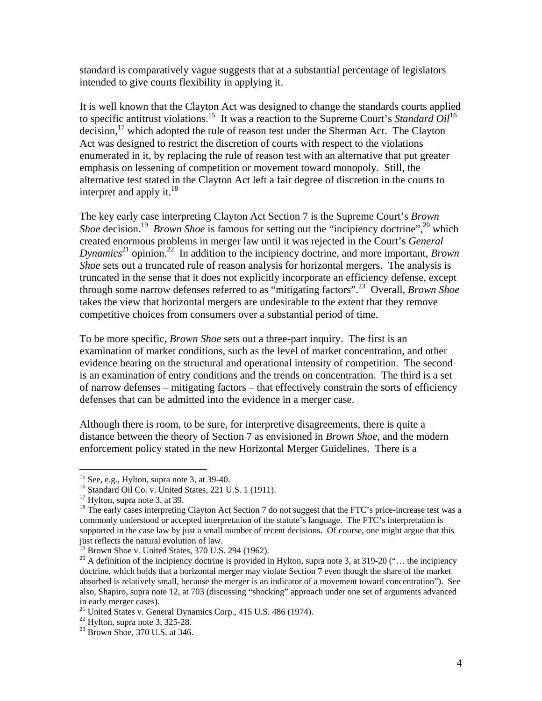standard is comparatively vague suggests that at a substantial percentage of legislators intended to give courts flexibility in applying it.

It is well known that the Clayton Act was designed to change the standards courts applied to specific antitrust violations.15 It was a reaction to the Supreme Court's *Standard Oil*<sup>16</sup> decision,<sup>17</sup> which adopted the rule of reason test under the Sherman Act. The Clayton Act was designed to restrict the discretion of courts with respect to the violations enumerated in it, by replacing the rule of reason test with an alternative that put greater emphasis on lessening of competition or movement toward monopoly. Still, the alternative test stated in the Clayton Act left a fair degree of discretion in the courts to interpret and apply it. $^{18}$ 

The key early case interpreting Clayton Act Section 7 is the Supreme Court's *Brown Shoe* decision.<sup>19</sup> *Brown Shoe* is famous for setting out the "incipiency doctrine",<sup>20</sup> which created enormous problems in merger law until it was rejected in the Court's *General Dynamics*21 opinion.22 In addition to the incipiency doctrine, and more important, *Brown Shoe* sets out a truncated rule of reason analysis for horizontal mergers. The analysis is truncated in the sense that it does not explicitly incorporate an efficiency defense, except through some narrow defenses referred to as "mitigating factors".23 Overall, *Brown Shoe* takes the view that horizontal mergers are undesirable to the extent that they remove competitive choices from consumers over a substantial period of time.

To be more specific, *Brown Shoe* sets out a three-part inquiry. The first is an examination of market conditions, such as the level of market concentration, and other evidence bearing on the structural and operational intensity of competition. The second is an examination of entry conditions and the trends on concentration. The third is a set of narrow defenses – mitigating factors – that effectively constrain the sorts of efficiency defenses that can be admitted into the evidence in a merger case.

Although there is room, to be sure, for interpretive disagreements, there is quite a distance between the theory of Section 7 as envisioned in *Brown Shoe*, and the modern enforcement policy stated in the new Horizontal Merger Guidelines. There is a

1

 $15$  See, e.g., Hylton, supra note 3, at 39-40.

<sup>&</sup>lt;sup>16</sup> Standard Oil Co. v. United States, 221 U.S. 1 (1911).

 $17$  Hylton, supra note 3, at 39.

<sup>&</sup>lt;sup>18</sup> The early cases interpreting Clayton Act Section 7 do not suggest that the FTC's price-increase test was a commonly understood or accepted interpretation of the statute's language. The FTC's interpretation is supported in the case law by just a small number of recent decisions. Of course, one might argue that this just reflects the natural evolution of law.

 $19$ <sup>19</sup> Brown Shoe v. United States, 370 U.S. 294 (1962).

<sup>&</sup>lt;sup>20</sup> A definition of the incipiency doctrine is provided in Hylton, supra note 3, at 319-20 ("... the incipiency doctrine, which holds that a horizontal merger may violate Section 7 even though the share of the market absorbed is relatively small, because the merger is an indicator of a movement toward concentration"). See also, Shapiro, supra note 12, at 703 (discussing "shocking" approach under one set of arguments advanced in early merger cases).

<sup>&</sup>lt;sup>21</sup> United States v. General Dynamics Corp., 415 U.S. 486 (1974).

 $22$  Hylton, supra note 3, 325-28.

<sup>&</sup>lt;sup>23</sup> Brown Shoe, 370 U.S. at 346.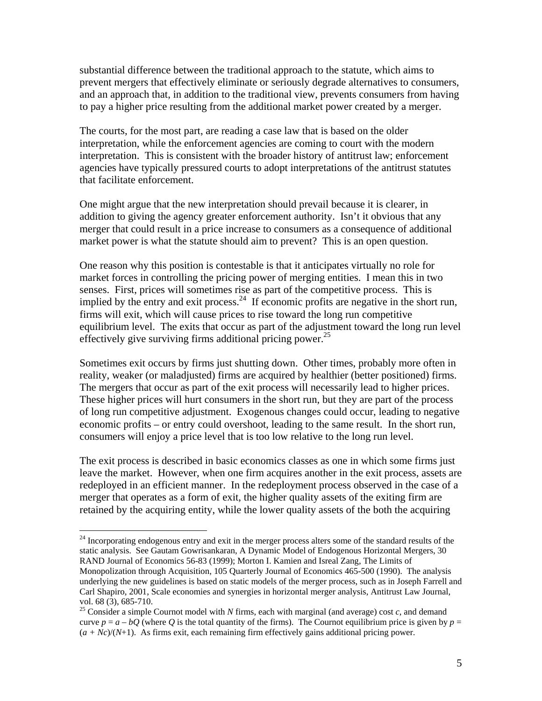substantial difference between the traditional approach to the statute, which aims to prevent mergers that effectively eliminate or seriously degrade alternatives to consumers, and an approach that, in addition to the traditional view, prevents consumers from having to pay a higher price resulting from the additional market power created by a merger.

The courts, for the most part, are reading a case law that is based on the older interpretation, while the enforcement agencies are coming to court with the modern interpretation. This is consistent with the broader history of antitrust law; enforcement agencies have typically pressured courts to adopt interpretations of the antitrust statutes that facilitate enforcement.

One might argue that the new interpretation should prevail because it is clearer, in addition to giving the agency greater enforcement authority. Isn't it obvious that any merger that could result in a price increase to consumers as a consequence of additional market power is what the statute should aim to prevent? This is an open question.

One reason why this position is contestable is that it anticipates virtually no role for market forces in controlling the pricing power of merging entities. I mean this in two senses. First, prices will sometimes rise as part of the competitive process. This is implied by the entry and exit process.<sup>24</sup> If economic profits are negative in the short run, firms will exit, which will cause prices to rise toward the long run competitive equilibrium level. The exits that occur as part of the adjustment toward the long run level effectively give surviving firms additional pricing power. $^{25}$ 

Sometimes exit occurs by firms just shutting down. Other times, probably more often in reality, weaker (or maladjusted) firms are acquired by healthier (better positioned) firms. The mergers that occur as part of the exit process will necessarily lead to higher prices. These higher prices will hurt consumers in the short run, but they are part of the process of long run competitive adjustment. Exogenous changes could occur, leading to negative economic profits – or entry could overshoot, leading to the same result. In the short run, consumers will enjoy a price level that is too low relative to the long run level.

The exit process is described in basic economics classes as one in which some firms just leave the market. However, when one firm acquires another in the exit process, assets are redeployed in an efficient manner. In the redeployment process observed in the case of a merger that operates as a form of exit, the higher quality assets of the exiting firm are retained by the acquiring entity, while the lower quality assets of the both the acquiring

<sup>&</sup>lt;sup>24</sup> Incorporating endogenous entry and exit in the merger process alters some of the standard results of the static analysis. See Gautam Gowrisankaran, A Dynamic Model of Endogenous Horizontal Mergers, 30 RAND Journal of Economics 56-83 (1999); Morton I. Kamien and Isreal Zang, The Limits of Monopolization through Acquisition, 105 Quarterly Journal of Economics 465-500 (1990). The analysis underlying the new guidelines is based on static models of the merger process, such as in Joseph Farrell and Carl Shapiro, 2001, Scale economies and synergies in horizontal merger analysis, Antitrust Law Journal, vol. 68 (3), 685-710.

<sup>25</sup> Consider a simple Cournot model with *N* firms, each with marginal (and average) cost *c*, and demand curve  $p = a - bQ$  (where Q is the total quantity of the firms). The Cournot equilibrium price is given by  $p = a$  $(a + Nc)/(N+1)$ . As firms exit, each remaining firm effectively gains additional pricing power.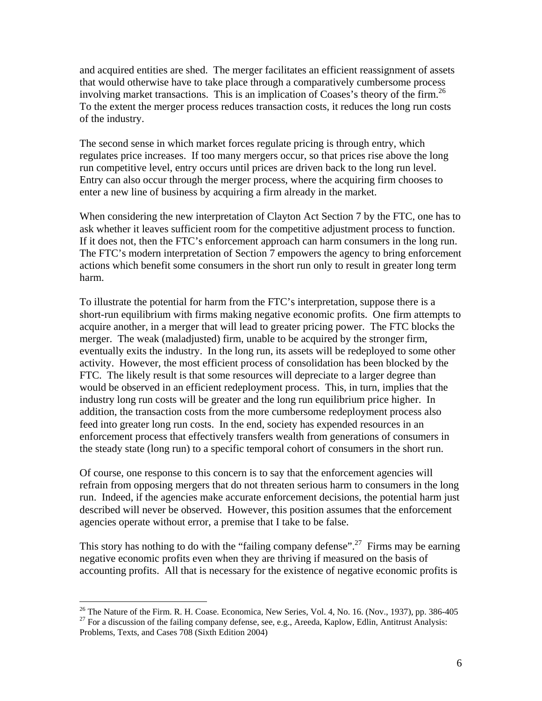and acquired entities are shed. The merger facilitates an efficient reassignment of assets that would otherwise have to take place through a comparatively cumbersome process involving market transactions. This is an implication of Coases's theory of the firm.26 To the extent the merger process reduces transaction costs, it reduces the long run costs of the industry.

The second sense in which market forces regulate pricing is through entry, which regulates price increases. If too many mergers occur, so that prices rise above the long run competitive level, entry occurs until prices are driven back to the long run level. Entry can also occur through the merger process, where the acquiring firm chooses to enter a new line of business by acquiring a firm already in the market.

When considering the new interpretation of Clayton Act Section 7 by the FTC, one has to ask whether it leaves sufficient room for the competitive adjustment process to function. If it does not, then the FTC's enforcement approach can harm consumers in the long run. The FTC's modern interpretation of Section 7 empowers the agency to bring enforcement actions which benefit some consumers in the short run only to result in greater long term harm.

To illustrate the potential for harm from the FTC's interpretation, suppose there is a short-run equilibrium with firms making negative economic profits. One firm attempts to acquire another, in a merger that will lead to greater pricing power. The FTC blocks the merger. The weak (maladjusted) firm, unable to be acquired by the stronger firm, eventually exits the industry. In the long run, its assets will be redeployed to some other activity. However, the most efficient process of consolidation has been blocked by the FTC. The likely result is that some resources will depreciate to a larger degree than would be observed in an efficient redeployment process. This, in turn, implies that the industry long run costs will be greater and the long run equilibrium price higher. In addition, the transaction costs from the more cumbersome redeployment process also feed into greater long run costs. In the end, society has expended resources in an enforcement process that effectively transfers wealth from generations of consumers in the steady state (long run) to a specific temporal cohort of consumers in the short run.

Of course, one response to this concern is to say that the enforcement agencies will refrain from opposing mergers that do not threaten serious harm to consumers in the long run. Indeed, if the agencies make accurate enforcement decisions, the potential harm just described will never be observed. However, this position assumes that the enforcement agencies operate without error, a premise that I take to be false.

This story has nothing to do with the "failing company defense".<sup>27</sup> Firms may be earning negative economic profits even when they are thriving if measured on the basis of accounting profits. All that is necessary for the existence of negative economic profits is

 $^{26}$  The Nature of the Firm. R. H. Coase. Economica, New Series, Vol. 4, No. 16. (Nov., 1937), pp. 386-405  $27$  For a discussion of the failing company defense, see, e.g., Areeda, Kaplow, Edlin, Antitrust Analysis: Problems, Texts, and Cases 708 (Sixth Edition 2004)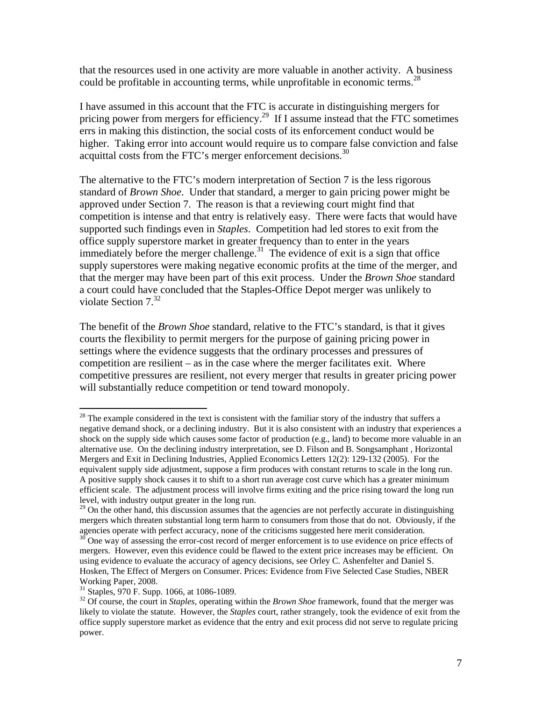that the resources used in one activity are more valuable in another activity. A business could be profitable in accounting terms, while unprofitable in economic terms.<sup>28</sup>

I have assumed in this account that the FTC is accurate in distinguishing mergers for pricing power from mergers for efficiency.<sup>29</sup> If I assume instead that the FTC sometimes errs in making this distinction, the social costs of its enforcement conduct would be higher. Taking error into account would require us to compare false conviction and false acquittal costs from the FTC's merger enforcement decisions.<sup>30</sup>

The alternative to the FTC's modern interpretation of Section 7 is the less rigorous standard of *Brown Shoe*. Under that standard, a merger to gain pricing power might be approved under Section 7. The reason is that a reviewing court might find that competition is intense and that entry is relatively easy. There were facts that would have supported such findings even in *Staples*. Competition had led stores to exit from the office supply superstore market in greater frequency than to enter in the years immediately before the merger challenge.<sup>31</sup> The evidence of exit is a sign that office supply superstores were making negative economic profits at the time of the merger, and that the merger may have been part of this exit process. Under the *Brown Shoe* standard a court could have concluded that the Staples-Office Depot merger was unlikely to violate Section  $7^{32}$ 

The benefit of the *Brown Shoe* standard, relative to the FTC's standard, is that it gives courts the flexibility to permit mergers for the purpose of gaining pricing power in settings where the evidence suggests that the ordinary processes and pressures of competition are resilient – as in the case where the merger facilitates exit. Where competitive pressures are resilient, not every merger that results in greater pricing power will substantially reduce competition or tend toward monopoly.

 $28$  The example considered in the text is consistent with the familiar story of the industry that suffers a negative demand shock, or a declining industry. But it is also consistent with an industry that experiences a shock on the supply side which causes some factor of production (e.g., land) to become more valuable in an alternative use. On the declining industry interpretation, see D. Filson and B. Songsamphant , Horizontal Mergers and Exit in Declining Industries, Applied Economics Letters 12(2): 129-132 (2005). For the equivalent supply side adjustment, suppose a firm produces with constant returns to scale in the long run. A positive supply shock causes it to shift to a short run average cost curve which has a greater minimum efficient scale. The adjustment process will involve firms exiting and the price rising toward the long run level, with industry output greater in the long run.

<sup>&</sup>lt;sup>29</sup> On the other hand, this discussion assumes that the agencies are not perfectly accurate in distinguishing mergers which threaten substantial long term harm to consumers from those that do not. Obviously, if the agencies operate with perfect accuracy, none of the criticisms suggested here merit consideration.

 $30$  One way of assessing the error-cost record of merger enforcement is to use evidence on price effects of mergers. However, even this evidence could be flawed to the extent price increases may be efficient. On using evidence to evaluate the accuracy of agency decisions, see Orley C. Ashenfelter and Daniel S. Hosken, The Effect of Mergers on Consumer. Prices: Evidence from Five Selected Case Studies, NBER Working Paper, 2008.

<sup>31</sup> Staples, 970 F. Supp. 1066, at 1086-1089.

<sup>32</sup> Of course, the court in *Staples*, operating within the *Brown Shoe* framework, found that the merger was likely to violate the statute. However, the *Staples* court, rather strangely, took the evidence of exit from the office supply superstore market as evidence that the entry and exit process did not serve to regulate pricing power.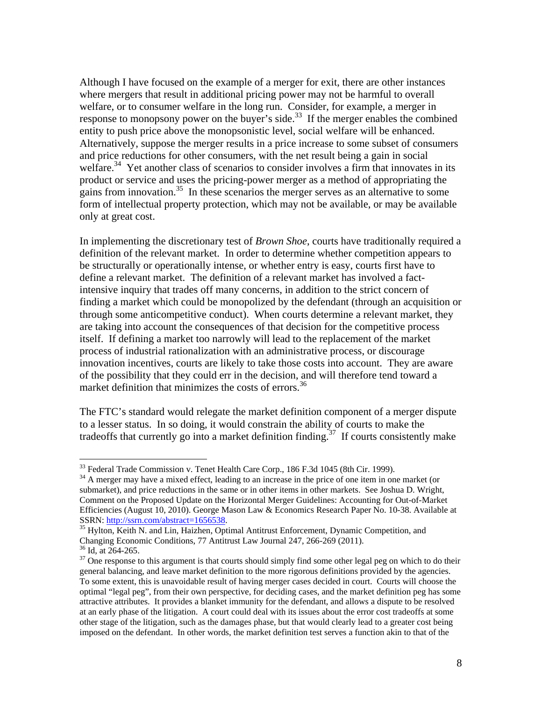Although I have focused on the example of a merger for exit, there are other instances where mergers that result in additional pricing power may not be harmful to overall welfare, or to consumer welfare in the long run. Consider, for example, a merger in response to monopsony power on the buyer's side.<sup>33</sup> If the merger enables the combined entity to push price above the monopsonistic level, social welfare will be enhanced. Alternatively, suppose the merger results in a price increase to some subset of consumers and price reductions for other consumers, with the net result being a gain in social welfare.<sup>34</sup> Yet another class of scenarios to consider involves a firm that innovates in its product or service and uses the pricing-power merger as a method of appropriating the gains from innovation.<sup>35</sup> In these scenarios the merger serves as an alternative to some form of intellectual property protection, which may not be available, or may be available only at great cost.

In implementing the discretionary test of *Brown Shoe*, courts have traditionally required a definition of the relevant market. In order to determine whether competition appears to be structurally or operationally intense, or whether entry is easy, courts first have to define a relevant market. The definition of a relevant market has involved a factintensive inquiry that trades off many concerns, in addition to the strict concern of finding a market which could be monopolized by the defendant (through an acquisition or through some anticompetitive conduct). When courts determine a relevant market, they are taking into account the consequences of that decision for the competitive process itself. If defining a market too narrowly will lead to the replacement of the market process of industrial rationalization with an administrative process, or discourage innovation incentives, courts are likely to take those costs into account. They are aware of the possibility that they could err in the decision, and will therefore tend toward a market definition that minimizes the costs of errors.<sup>36</sup>

The FTC's standard would relegate the market definition component of a merger dispute to a lesser status. In so doing, it would constrain the ability of courts to make the tradeoffs that currently go into a market definition finding.<sup>37</sup> If courts consistently make

 $33$  Federal Trade Commission v. Tenet Health Care Corp., 186 F.3d 1045 (8th Cir. 1999).

<sup>&</sup>lt;sup>34</sup> A merger may have a mixed effect, leading to an increase in the price of one item in one market (or submarket), and price reductions in the same or in other items in other markets. See Joshua D. Wright, Comment on the Proposed Update on the Horizontal Merger Guidelines: Accounting for Out-of-Market Efficiencies (August 10, 2010). George Mason Law & Economics Research Paper No. 10-38. Available at SSRN: http://ssrn.com/abstract=1656538.<br><sup>35</sup> Hylton, Keith N. and Lin, Haizhen, Optimal Antitrust Enforcement, Dynamic Competition, and

Changing Economic Conditions, 77 Antitrust Law Journal 247, 266-269 (2011). 36 Id, at 264-265.

 $37$  One response to this argument is that courts should simply find some other legal peg on which to do their general balancing, and leave market definition to the more rigorous definitions provided by the agencies. To some extent, this is unavoidable result of having merger cases decided in court. Courts will choose the optimal "legal peg", from their own perspective, for deciding cases, and the market definition peg has some attractive attributes. It provides a blanket immunity for the defendant, and allows a dispute to be resolved at an early phase of the litigation. A court could deal with its issues about the error cost tradeoffs at some other stage of the litigation, such as the damages phase, but that would clearly lead to a greater cost being imposed on the defendant. In other words, the market definition test serves a function akin to that of the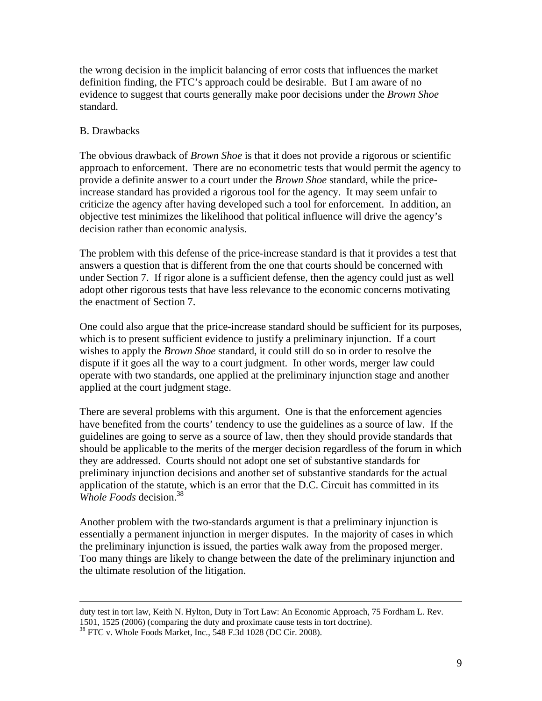the wrong decision in the implicit balancing of error costs that influences the market definition finding, the FTC's approach could be desirable. But I am aware of no evidence to suggest that courts generally make poor decisions under the *Brown Shoe* standard.

#### B. Drawbacks

The obvious drawback of *Brown Shoe* is that it does not provide a rigorous or scientific approach to enforcement. There are no econometric tests that would permit the agency to provide a definite answer to a court under the *Brown Shoe* standard, while the priceincrease standard has provided a rigorous tool for the agency. It may seem unfair to criticize the agency after having developed such a tool for enforcement. In addition, an objective test minimizes the likelihood that political influence will drive the agency's decision rather than economic analysis.

The problem with this defense of the price-increase standard is that it provides a test that answers a question that is different from the one that courts should be concerned with under Section 7. If rigor alone is a sufficient defense, then the agency could just as well adopt other rigorous tests that have less relevance to the economic concerns motivating the enactment of Section 7.

One could also argue that the price-increase standard should be sufficient for its purposes, which is to present sufficient evidence to justify a preliminary injunction. If a court wishes to apply the *Brown Shoe* standard, it could still do so in order to resolve the dispute if it goes all the way to a court judgment. In other words, merger law could operate with two standards, one applied at the preliminary injunction stage and another applied at the court judgment stage.

There are several problems with this argument. One is that the enforcement agencies have benefited from the courts' tendency to use the guidelines as a source of law. If the guidelines are going to serve as a source of law, then they should provide standards that should be applicable to the merits of the merger decision regardless of the forum in which they are addressed. Courts should not adopt one set of substantive standards for preliminary injunction decisions and another set of substantive standards for the actual application of the statute, which is an error that the D.C. Circuit has committed in its *Whole Foods* decision.38

Another problem with the two-standards argument is that a preliminary injunction is essentially a permanent injunction in merger disputes. In the majority of cases in which the preliminary injunction is issued, the parties walk away from the proposed merger. Too many things are likely to change between the date of the preliminary injunction and the ultimate resolution of the litigation.

duty test in tort law, Keith N. Hylton, Duty in Tort Law: An Economic Approach, 75 Fordham L. Rev. 1501, 1525 (2006) (comparing the duty and proximate cause tests in tort doctrine).

 $38$  FTC v. Whole Foods Market, Inc., 548 F.3d 1028 (DC Cir. 2008).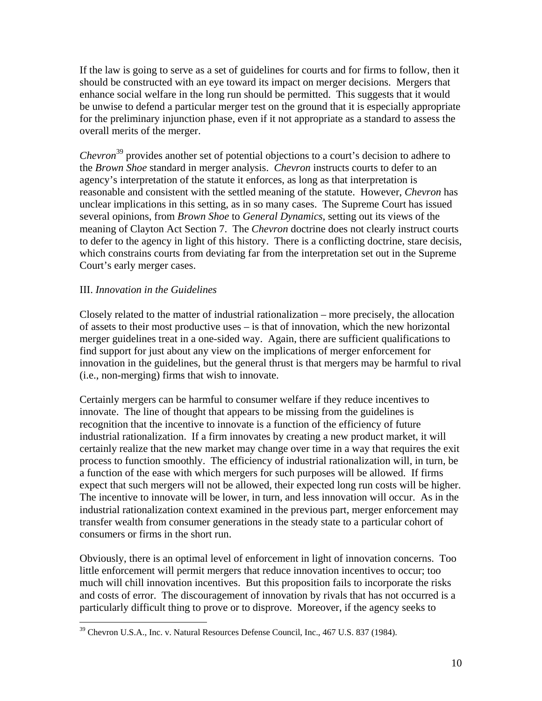If the law is going to serve as a set of guidelines for courts and for firms to follow, then it should be constructed with an eye toward its impact on merger decisions. Mergers that enhance social welfare in the long run should be permitted. This suggests that it would be unwise to defend a particular merger test on the ground that it is especially appropriate for the preliminary injunction phase, even if it not appropriate as a standard to assess the overall merits of the merger.

*Chevron*39 provides another set of potential objections to a court's decision to adhere to the *Brown Shoe* standard in merger analysis. *Chevron* instructs courts to defer to an agency's interpretation of the statute it enforces, as long as that interpretation is reasonable and consistent with the settled meaning of the statute. However, *Chevron* has unclear implications in this setting, as in so many cases. The Supreme Court has issued several opinions, from *Brown Shoe* to *General Dynamics*, setting out its views of the meaning of Clayton Act Section 7. The *Chevron* doctrine does not clearly instruct courts to defer to the agency in light of this history. There is a conflicting doctrine, stare decisis, which constrains courts from deviating far from the interpretation set out in the Supreme Court's early merger cases.

#### III. *Innovation in the Guidelines*

 $\overline{a}$ 

Closely related to the matter of industrial rationalization – more precisely, the allocation of assets to their most productive uses – is that of innovation, which the new horizontal merger guidelines treat in a one-sided way. Again, there are sufficient qualifications to find support for just about any view on the implications of merger enforcement for innovation in the guidelines, but the general thrust is that mergers may be harmful to rival (i.e., non-merging) firms that wish to innovate.

Certainly mergers can be harmful to consumer welfare if they reduce incentives to innovate. The line of thought that appears to be missing from the guidelines is recognition that the incentive to innovate is a function of the efficiency of future industrial rationalization. If a firm innovates by creating a new product market, it will certainly realize that the new market may change over time in a way that requires the exit process to function smoothly. The efficiency of industrial rationalization will, in turn, be a function of the ease with which mergers for such purposes will be allowed. If firms expect that such mergers will not be allowed, their expected long run costs will be higher. The incentive to innovate will be lower, in turn, and less innovation will occur. As in the industrial rationalization context examined in the previous part, merger enforcement may transfer wealth from consumer generations in the steady state to a particular cohort of consumers or firms in the short run.

Obviously, there is an optimal level of enforcement in light of innovation concerns. Too little enforcement will permit mergers that reduce innovation incentives to occur; too much will chill innovation incentives. But this proposition fails to incorporate the risks and costs of error. The discouragement of innovation by rivals that has not occurred is a particularly difficult thing to prove or to disprove. Moreover, if the agency seeks to

<sup>&</sup>lt;sup>39</sup> Chevron U.S.A., Inc. v. Natural Resources Defense Council, Inc., 467 U.S. 837 (1984).